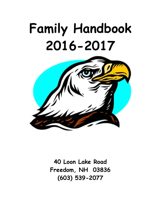# **Family Handbook 2016-2017**



**40 Loon Lake Road Freedom, NH 03836 (603) 539-2077**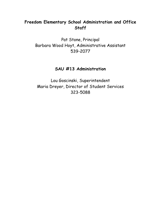# **Freedom Elementary School Administration and Office Staff**

Pat Stone, Principal Barbara Wood Hoyt, Administrative Assistant 539-2077

# **SAU #13 Administration**

Lou Goscinski, Superintendent Maria Dreyer, Director of Student Services 323-5088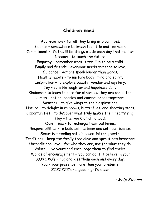# **Children need…**

Appreciation – for all they bring into our lives. Balance – somewhere between too little and too much. Commitment – it's the little things we do each day that matter. Dreams – to touch the future. Empathy – remember what it was like to be a child. Family and friends – everyone needs someone to love. Guidance – actions speak louder than words. Healthy habits – to nurture body, mind and spirit. Inspiration – to explore beauty, wonder and mystery. Joy – sprinkle laughter and happiness daily. Kindness – to learn to care for others as they are cared for. Limits – set boundaries and consequences together. Mentors – to give wings to their aspirations. Nature – to delight in rainbows, butterflies, and shooting stars. Opportunities – to discover what truly makes their hearts sing. Play – the 'work' of childhood. Quiet time – to recharge their batteries. Responsibilities – to build self-esteem and self-confidence. Security – feeling safe is essential for growth. Traditions – keep the family tree alive and sprout new branches. Unconditional love – for who they are, not for what they do. Values – live yours and encourage them to find theirs. Words of encouragement – 'you can do it, I believe in you!' XOXOXO's – hug and kiss them each and every day. You – your presence more than your presents. ZZZZZZZ's – a good night's sleep.

~Meiji Stewart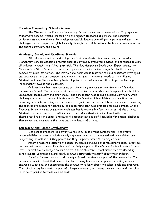# **Freedom Elementary School's Mission**

The Mission of the Freedom Elementary School, a small rural community is: To prepare all students to become lifelong learners with the highest standards of personal and academic achievements and excellence; To develop responsible leaders who will participate in and meet the challenges to the competitive global society through the collaborative efforts and resources within the entire community and beyond.

# **Academic, Social, and Emotional Growth**

All children should be held to high academic standards. To ensure this, the Freedom Elementary School's academic program shall be continually evaluated, revised, and enhanced to allow all children to reach their fullest potential. The New Hampshire Grade Level Expectations, the Common Core State Standards, and other appropriate resources as designated by the learning community guide instruction. The instructional team works together to build consistent strategies and programs across and between grade levels that meet the varying needs of the children. Students will have the opportunity to develop skills that will empower them to pursue learning independently beyond the classroom.

Children learn best in a nurturing yet challenging environment – a strength of Freedom Elementary School. Teachers and staff members strive to understand and respond to each child's uniqueness: academically and emotionally. The school continues to build positive community while challenging students to reach high standards. The Freedom School District is committed to providing materials and using instructional strategies that are research based and current, ensuring the appropriate access to technology, and supporting continued professional development. In the Freedom School learning community, each member is responsible for the success of the others. Students, parents, teachers, staff members, and administrators respect each other and themselves, live by the school's rules, work cooperatives, use self-knowledge for change, challenge themselves, and appreciate the ideas and experiences of others.

# **Community and Parent Involvement**

One goal of Freedom Elementary School is to build strong partnerships. The staff's responsibilities to parents include clearly explaining what is to be learned and how children are progressing, as well as assisting parents as they support children's learning at home.

Parent's responsibilities to the school include making sure children come to school every day on time and ready to learn. Parents should actively support children's learning in all parts of their lives. Parents are encouraged to participate in their children's school experience by attending school events, volunteering, and openly communicating with the staff about their children.

Freedom Elementary has traditionally enjoyed the strong support of the community. The school continues to build that relationship by listening to community opinion, accessing resources, answering questions, and encouraging the community to learn about the school goals and programs. The school recognizes that it is part of a larger community with many diverse needs and the school must be responsive to these commitments.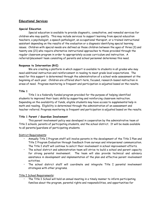# **Educational Services**

# **Special Education**

Special education is available to provide diagnostic, consultative, and remedial services for children who may qualify. This may include services to support learning from special education teachers, a psychologist, a speech pathologist, an occupational therapist, or a trained instructional assistant depending on the results of the evaluation or a diagnosis identifying special learning issues. Children with special needs are defined as those children between the ages of three (3) and twenty one (21) who require alternative instructional approaches to those provided through the regular classroom program in order to appropriately access curriculum and instruction. A referral/placement team consisting of parents and school personnel determines this need.

# **Response to Intervention (RtI)**

We are creating a platform in which support is available to students in all grades who may need additional instruction and reinforcement in reading to meet grade level expectations. The need for this support is determined through the administration of a school-wide assessment at the beginning of each year. Children are offered short-term, focused, research-based instruction in areas of need. Progress monitoring is frequent and participation is adjusted based on the results.

# **Title 1**

Title 1 is a federally funded program provided for the purpose of helping identified students to improved their basic skills by supporting and reinforcing classroom instruction. Depending on the availability of funds, eligible students may have access to supplemental help in math and reading. Eligibility is determined through the administration of an assessment and teacher referral. Progress monitoring is frequent and participation is adjusted based on the results.

# **Title 1 Parent / Guardian Involvement**

This parent involvement policy was developed in cooperation by the administrative team at Title I schools, parents of participating students, and the school district. It will be made available to all parents/guardians of participating students.

# District Requirements:

- Annually Title I Program staff will involve parents in the development of the Title I Plan and Title I Program Evaluation through feedback from surveys and interpersonal communication. The Title I staff will continue to solicit their involvement in school improvement efforts.
- The school district and administration team will strive to build a school and parent capacity for strong parental involvement. The team will also provide technical and advisory assistance in development and implementation of the plan and effective parent involvement activities.
- The school district staff will coordinate and integrate Title I parental involvement strategies with other programs.

# Title I School Requirements:

• The Title I School will hold an annual meeting in a timely manner to inform participating families about the program, parental rights and responsibilities, and opportunities for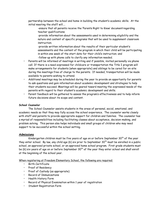partnership between the school and home in building the student's academic skills. At the initial meeting the staff will….

- -ensure that all parents receive the 'Parents Right to Know' documentregarding teacher qualifications;
- -provide information about the assessments used in determining eligibility and the nature and content of specific programs that will be used to supplement classroom instruction;
- -provide written information about the results of their particular student's assessments and the content of the program in which their child will be participating in within one week of the start date for their child's instruction; and -follow-up with phone calls to clarify any information needed.
- Parents will be informed of meetings in writing and if possible, invited personally via phone call. If there is a need expressed for childcare or transportation the Title I program will make arrangements for students (when appropriate) and siblings to be cared for on-site during the meetings free of charge to the parents. If needed, transportation will be made available to parents wishing to attend.
- Additional meetings may be scheduled during the year to provide an opportunity for parents to ask questions and gain information about academic development and strategies to help their students succeed. Meetings will be geared toward meeting the expressed needs of the parents with regard to their student's academic development and skills.
- Parent feedback will be gathered to assess the program's effectiveness and to help inform future decisions about its scope and content.

# **School Counselor**

The School Counselor assists students in the areas of personal, social, emotional, and academic needs so that they may fully access the school experience. The counselor works closely with staff and parents to provide appropriate support for children and families. The counselor has a myriad of responsibilities including facilitating classes about acceptance, decision-making, and problem solving. This person also helps individuals and small groups of children who may need support to be successful within the school setting.

# **Admissions**

Kindergarten children must be five years of age on or before September  $30<sup>th</sup>$  of the year they enter school. By law, any child age (6) six prior to September  $30<sup>th</sup>$  must be enrolled in a public school, an approved private school, or an approved home school program. First grade students must be (6) six years of age on or before September  $30<sup>th</sup>$  of the year they enter school and shall enroll at the beginning of the school year.

When registering at Freedom Elementary School, the following are required:

- Birth Certificate
- Proof of Residency
- Proof of Custody (as appropriate)
- Record of Immunizations
- Health History Form
- Record of Physical Examination within 1 year of registration
- Student Registration Form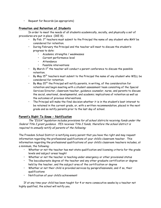• Request for Records (as appropriate)

# **Promotion and Retention of Students**

In order to meet the needs of all students academically, socially, and physically a set of procedures are put in place (IKE-R).

- $\cdot$  By Feb. 1<sup>st</sup> teachers must submit to the Principal the name of any student who MAY be considered for retention.
- During February the Principal and the teacher will meet to discuss the student's progress to date:
	- Academic strengths / weaknesses
	- Current performance level
	- Attendance
	- Possible interventions
- $\cdot$  By March 1<sup>st</sup> the teacher will conduct a parent conference to discuss the possible retention.
- $\cdot$  By May 15<sup>th</sup> teachers must submit to the Principal the name of any student who WILL be considered for retention.
- By May 20<sup>th</sup> the Principal will notify parents, in writing, of the consideration for retention and begin meeting with a student assessment team consisting of the Special Services Director, classroom teacher, guidance counselor, nurse, and parents to discuss the social, emotional, developmental, and academic implications of retention as well as the outcomes of previous interventions.
- The Principal will make the final decision whether it is in the student's best interest to be retained in the current grade, or, with a written recommendation, placed in the next grade and so notify parents prior to the last day of school.

# **Parent's Right To Know – Notification**

The "ESSA" legislation includes provisions for all school districts receiving funds under the federal Title I grant guidance. FES receives Title I funds, therefore the school district is required to annually notify all parents of the following:

The Freedom School District is notifying every parent that you have the right and may request information regarding the professional qualifications of your child's classroom teacher. This information regarding the professional qualifications of your child's classroom teachers includes, at a minimum, the following:

- Whether or not the teacher has met state qualification and licensing criteria for the grade levels and subject areas taught
- Whether or not the teacher is teaching under emergency or other provisional status
- The baccalaureate degree of the teacher and any other graduate certification or degree held by the teacher, and the subject area of the certification or degree
- Whether or not their child is provided services by paraprofessionals, and if so, their qualifications
- Notification of your child's achievement

If at any time your child has been taught for 4 or more consecutive weeks by a teacher not highly qualified, the school will notify you.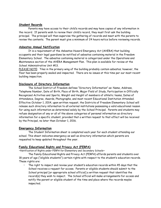# **Student Records**

Parents may have access to their child's records and may have copies of any information in the record. If parents wish to review their child's record, they must first ask the building principal. The principal will then supervise the gathering of records and meet with the parents to review the contents. The parent must give a minimum of 24 hours notice before reviewing records.

# **Asbestos Annual Notification**

It is a requirement of the Asbestos Hazard Emergency Act (AHERA) that building occupants and their legal guardians be notified of asbestos containing material in the Freedom Elementary School. The asbestos containing material is categorized under the Operations and Maintenance section of the AHERA Management Plan. This plan is available for review at the School Administrative Unit #13.

PLEASE NOTE: Tiles in the primary wing of the building probably contain asbestos; however, the floor has been properly sealed and inspected. There are no issues at this time per our most recent building inspection.

# **Disclosure of Directory Information**

The School District of Freedom defines "Directory Information" as: Name, Address, Telephone Number, Date of Birth, Place of Birth, Major Field of Study, Participation in Officially Recognized Activities and Sports, Weight and Height of members of athletic teams, Dates of Attendance, Degree, Awards, Photographs, and most recent Educational Institution Attended. Effective October 1, 2014, upon written request, the Districts of Freedom Elementary School will release such directory information to all external institutions possessing a valid educational reason for using such information as determined solely by the School Principal. Parents and students may refuse designation of any or all of the above categories of personal information as directory information for a specific student, provided that a written request to that effect will be received by the Principal, no later than October 1, 2016.

# **Emergency Information**

The Student Information sheet is completed each year for each student attending our school. This sheet indicates emergency as well as directory information which parents are requested to keep updated throughout the year.

# **Family Educational Rights and Privacy Act (FERPA)**

~Notification of Rights under FERPA for Elementary and Secondary Schools~

The Family Educational Rights and Privacy Act (FERPA) affords parents and students over 18 years of age ("eligible students") certain rights with respect to the student's education records. These rights are:

• The right to inspect and review your student's education records within 45 days that the School receives a request for access. Parents or eligible students should submit to the School principal [or appropriate school official] a written request that identifies the record(s) they wish to inspect. The School official will make arrangements for access and notify the parent or eligible student of the time and place where the records maybe inspected.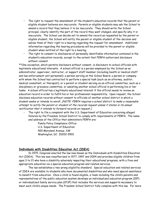- The right to request the amendment of the student's education records that the parent or eligible student believes are inaccurate. Parents or eligible students may ask the School to amend a record that they believe it to be inaccurate. They should write the School principal, clearly identify the part of the record they want changed, and specify why it is inaccurate. The School can decide not to amend the record as requested by the parent or eligible student, the School will notify the parent or eligible student of the decision and advise them of their right to a hearing regarding the request for amendment. Additional information regarding the hearing procedures will be provided to the parent or eligible student when notified of the right to a hearing.
- The right to consent to disclosures of personally identifiable information contained in the student's education records, except to the extent that FERPA authorized disclosure without consent.

\*\*One exception, which permits disclosure without consent, is disclosure to school officials with legitimate educational interests. A school official is a person employed by the School as an administrator, supervisor, instructor, or support staff member (including health or medical staff and law enforcement unit personnel); a person serving on the School Board; a person or company with whom the School has contracted to perform a special task (such as an attorney, auditor, medical consultant, or therapist); or a parent or student serving on an official committee, such as a disciplinary or grievance committee, or assisting another school official in performing his or her tasks. A school official has a legitimate educational interest if the official needs to review an education record in order to fulfill his or her professional responsibility. Upon request, the School discloses education records without consent to officials of another school district in which a student seeks or intends to enroll. [NOTE: FERPA requires a school district to make a reasonable attempt to notify the parent or student of the records request unless it states in its annual notification that it intends to forward records on request.]

• The right to file a complaint with the U.S. Department of Education concerning alleged failures by the Freedom School District to comply with requirements of FERPA. The name and address of the Office that administers FERPA are:

> Family Policy Compliance Office U.S. Department of Education 400 Maryland Avenue, SW Washington, DC 20202-5901

# **Individuals with Disabilities Education Act (IDEA)**

In 1975, Congress enacted the law now known as the Individuals with Disabilities Education Act (IDEA). This law was reauthorized in 1977, 1997 and 2004 and provides eligible children from ages 3 to 21 who have a disability adversely impacting their educational progress, with a free and appropriate education via a special education program and related services.

The law establishes a two-prong eligibility standard. Special education and related services of IDEA are available to students who have documented disabilities and who need special assistance to benefit from education. Once a child is found eligible, a team including the child's parents and representatives of the public education system develops an individualized education program (IEP) or individualized family service plan (IFSP) that includes the services and supports necessary to meet each child's unique needs. The Freedom School District fully complies with this law. For more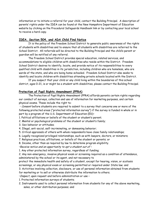information or to initiate a referral for your child, contact the Building Principal. A description of parents' rights under the IDEA can be found at the New Hampshire Department of Education website by clicking on the Procedural Safeguards Handbook link or by contacting your local school to receive a hard copy.

# **IDEA, Section 504, and ADA Child Find Notice**

It is the policy of the Freedom School District to generate public awareness of the rights of students with disabilities and to ensure that all students with disabilities are referred to the School District. All referrals will be directed to the Building Principal and the child's parent or guardian will be notified of any referral.

The Freedom School District provides special education, related services, and accommodations to eligible children with disabilities who reside within the District. Freedom School District desires to identify, locate, and provide notice of its responsibilities to every qualified child with disabilities in its jurisdiction, including children who are homeless, who are wards of the state, and who are being home-schooled. Freedom School District also seeks to identify and locate children with disabilities attending private schools located with the District.

If you suspect that your child or any child living within the boundaries of this school district, ages 0-21, is or might be a student with disabilities, please contact the Building Principal.

# **Protection of Pupil Rights Amendment (PPRA)**

The Protection of Pupil Rights Amendment (PPRA) affords parents certain rights regarding our conduct of surveys, collection and use of information for marketing purposes, and certain physical exams. These include the right to:

• Consent before students are required to submit to a survey that concerns one or more of the following protected areas ("protected information survey") if the survey is funded in whole or in part by a program of the U.S. Department of Education (ED)–

1. Political affiliations or beliefs of the student or student's parent;

2. Mental or psychological problems of the student or student's family;

- 3. Sex behavior or attitudes;
- 4. Illegal, anti-social, self-incriminating, or demeaning behavior;
- 5. Critical appraisals of others with whom respondents have close family relationships;
- 6. Legally recognized privileged relationships, such as with lawyers, doctors, or ministers;
- 7. Religious practices, affiliations, or beliefs of the student or parents; or

8. Income, other than as required by law to determine program eligibility.

•Receive notice and an opportunity to opt a student out of –

1. Any other protected information survey, regardless of funding;

2. Any non-emergency, invasive physical exam or screening required as a condition of attendance, administered by the school or its agent, and not necessary to

protect the immediate health and safety of a student, except for hearing, vision, or scoliosis screenings, or any physical exam or screening permitted or required under State law; and

3. Activities involving collection, disclosure, or use of personal information obtained from students for marketing or to sell or otherwise distribute the information to others.

•Inspect, upon request and before administration or use –

1. Protected information surveys of students;

2. Instruments used to collect personal information from students for any of the above marketing, sales, or other distribution purposes; and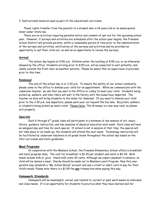3. Instructional material used as part of the educational curriculum.

These rights transfer from the parents to a student who is 18 years old or an emancipated minor under State law.

There are no activities requiring parental notice and consent of opt-out for the upcoming school year. However, if surveys and activities are scheduled after the school year begins; the Freedom School District will provide parents, within a reasonable period of time prior to the administration of the surveys and activities, notification of the surveys and activities and be provided an opportunity to opt their child out, as well as an opportunity to review the surveys.

#### **Arrival**

The school day begins at 9:00 a.m. Children enter the building at 8:50 a.m. or as otherwise allowed by the office. Students arriving prior to 8:50 a.m. will be expected to wait patiently, and calmly outside the front door as weather permits. Please be aware that no supervision is provided prior to this time.

#### **Dismissal**

The end of the school day is at 3:30 p.m. To ensure the safety of our school community, please come to the office to dismiss your child for an appointment. While we communicate with the classroom teacher, we ask that you wait in the Office or Lobby to meet your child. Students being picked up, walkers, and bike riders will wait in the library until the buses have departed. The teacher on duty will bring students to the lobby for dismissal. If you need to dismiss your child prior to the 3:30 p.m. bus departure, please park your car beyond the bus lane. Bicyclists, walkers, or student's being picked up need a note. Please Note: The driveway is a one-way road, so please exit properly.

#### **Specials**

Each K through  $6<sup>th</sup>$  grade class will participate in a minimum of one session of art, music, library, guidance instruction, and two sessions of physical education each week. Each class will have an assigned day and time for each special. If school is not in session at that time, the special will not take place or be made up; the students will attend the next week. Technology instruction will be facilitated by classroom teachers at all grade levels throughout the school day based on the SAU curriculum and state guidelines.

#### **Meal Programs**

In cooperation with the Madison School, the Freedom Elementary School offers a breakfast and lunch program daily. The cost for breakfast is \$1.25 per student and lunch is \$2.45. Both meals include milk or juice. Snack milk costs 30 cents. Although we expect payment in advance, no child will be denied a meal. Checks should be made out to Madison Lunch Program. New this year parents may establish a "My School Bucks" account and use a credit or debit card to pay for their child's meals. Please note there is a \$1.95 fee **per** transaction when paying this way.

#### **Homework Standards**

Homework will be meaningful, varied, and related to current or past work based on individual and class needs. It is an opportunity for students to practice what they have learned and for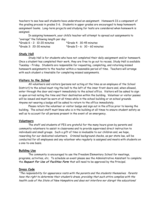teachers to see how well students have understood an assignment. Homework IS a component of the grading process in grades 3-6. Students in upper grades are encouraged to keep homework assignment books. Long-term projects and studying for tests are considered when homework is assigned.

In assigning homework, your child's teacher will attempt to spread out assignments to "average" the following length per day:

 $*G$ rade K – 2: 10-20 minutes  $*G$ rade 4: 30-45 minutes  $*G$ rade 3: 20-30 minutes  $*G$ rade 5 – 6: 30 – 60 minutes

# **Study Hall**

Study Hall is for students who have not completed their daily assignment and/or homework. Once a student has completed their work, they are free to go out to recess. Study Hall is available Tuesday – Friday. Students are responsible for requesting, completing, and returning missed homework assignments to the teacher within a reasonable period of time. Teachers will arrange with each student a timetable for completing missed assignments.

# **Visitors to the School**

All volunteers and visitors (persons not acting at the time as an employee of the School District) to the school must ring the bell to the left of the inner front doors and, when allowed, enter through the door and report immediately to the school office. Visitors will be asked to sign in upon arrival noting the time and their destination within the building. Volunteer or visitor passes will be issued and must be worn at all times while in the school building or on school grounds. Anyone not wearing a badge will be asked to return to the office immediately.

Please return the volunteer or visitor badge and sign out in the office prior to leaving the building. The school staff must know who is in the building at all times to ensure student safety as well as to account for all persons present in the event of an emergency.

# **Volunteers**

The staff and students of FES are grateful for the many hours given by parents and community volunteers to assist in classrooms and to provide supervised direct instruction to individuals and small groups. Such a gift of time is invaluable to our children and, we hope, rewarding for our dedicated volunteers. Criminal background checks, as per state law, will be conducted for all employees and any volunteer who regularly is assigned and meets with students on a one-to-one basis.

# **Building Use**

The community is encouraged to use the Freedom Elementary School for meetings, programs, activities, etc. To schedule an event please see the Administrative Assistant to complete the **Request For Use of Facilities Form** that will need to be approved by the Principal.

# **Dress Code**

"The responsibility for appearance rests with the parents and the students themselves. Parents have the right to determine their student's dress, providing that such attire complies with the health code of the State of New Hampshire and does not interfere nor disrupt the educational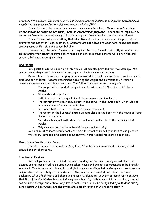process of the school. The building principal is authorized to implement this policy, provided such regulations are approved by the Superintendent.' ~Policy JICA

Students should be dressed in a manner appropriate to school. **Some current clothing styles should be reserved for family time or recreational purposes.** Short skirts, tops such as halter, half-tops or those with very thin or no straps, and other similar items are not allowed.

Students may not wear clothing that advertises alcohol or tobacco, contains profanity, or promotes the use of an illegal substance. Students are not allowed to wear hats, hoods, bandanas, or sunglasses while inside the school building.

Footwear must be safe. Sneakers are required for P.E. Should a difficulty arise due to a child's attire that cannot be immediately handled at school, his/her parents will be notified and asked to bring a change of clothing.

# **Backpacks**

Backpacks should be sized to fit into the school cubicles provided for their storage. We are not promoting a particular product but suggest a basic or youth sized bag.

Research has shown that carrying excessive weight in a backpack can lead to various health problems for children. Experts recommend adjusting the weight and distribution of items to prevent shoulder, neck, and back problems. The following should be used as a guide:

- The weight of the loaded backpack should not exceed 15% of the child's body weight.
- Straps should be padded.
- Both straps of the backpack should be worn over the shoulders.
- The bottom of the pack should rest on the curve of the lower back. It should not rest more than 4" below the waistline.
- Pack waist belts should be fastened for extra support.
- The weight in the backpack should be kept close to the body with the heaviest items closest to the back.
- Consider a backpack with wheels if the loaded pack is above the recommended weight.
- Only carry necessary items to and from school each day.

Much of what students carry back and forth to school could easily be left at one place or the other. Boys and girls should bring only the items needed for learning each day.

# **Drug Free/Smoke Free Zone**

Freedom Elementary School is a Drug Free / Smoke Free environment. Smoking is not allowed on school property.

# **Electronic Devices**

Technology can be the basis of misunderstandings and misuse. Family owned electronic devices are not permitted to be used during school hours and are not recommended to be brought to school. This includes cell phone, iPods, digital cameras, and handheld video games. Students are responsible for the safety of these devices. They are to be turned off and stored in their backpack. If you feel that a cell phone is a necessity, please tell your son or daughter to be sure that it is off and in his/her backpack during the school day. While your child is at school, contact can be made through the office. Any device seen, heard, or found being used by a student during school hours will be turned into the office and a parent/guardian will need to claim it.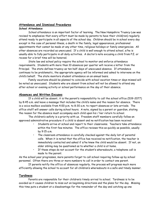# **Attendance and Dismissal Procedures**

# **School Attendance**

School attendance is an important factor of learning. The New Hampshire Truancy Law was revised to emphasize that every effort must be made by parents to have their child(ren) regularly attend ready to participate in all aspects of the school day. Children should be in school every day except in the case of personal illness, a death in the family, legal appearances, professional appointments that cannot be made at any other time, religious holidays or family emergencies. All other absences are recorded as unexcused. If a child is well enough to attend school, s/he is usually able to fully participate in all daily activities. A doctor's note excusing a child from P.E. or recess for a brief time will be honored.

State law and school policy require the school to monitor and enforce attendance requirements. Students with more than 10 absences per quarter will receive a letter from the Principal. The state defines truancy as ten half-days of unexcused absence. If attendance continues to be problematic, the appropriate agency will be informed and asked to intervene on the child's behalf. The state monitors student attendance on an annual basis.

Family vacations should be planned to coincide with school vacation times or days missed will be noted as unexcused. Students who are absent from school will not be allowed to attend any after-school or evening activity or school performance on the day of their absence.

# **Absences and Written Excuses**

If a child will be absent, it is the parent's responsibility to call the school office (539-2077) by 8:45 a.m. and leave a message that includes the child's name and the reason for absence. There is a voice mailbox available from 4:00 p.m. to 8:30 a.m. to report absences or late arrivals. The office staff will answer calls during school hours. A note, signed by a parent or guardian, stating the reason for the absence must accompany each child upon his / her return to school.

The children's safety is a priority with us. Freedom staff members carefully follow an approved administrative procedure if a child is absent and no notification has been received:

- Students arrive at school and report to their classrooms. Teachers take attendance within the first few minutes. The office reviews this as quickly as possible, usually by 9:15 a.m.
- The classroom attendance is carefully checked against the daily list of parental calls. When it is noted that the office has received no notification, the teacher is immediately contacted and asked if s/he knew the child would be absent. If not, an older sibling may be questioned as to whether a child is at home.
- If these steps do not account for the student's whereabouts, a telephone call is made to the parent.

As the school year progresses, more parents forget to call school requiring follow-up by school personnel. Often there are three or more numbers to call in order to contact one parent.

If parents notify the office of absences regularly, the process will progress much more efficiently allowing the school to account for all children's whereabouts in a safe and timely manner.

# **Tardiness**

Parents are responsible for their children's timely arrival to school. Tardiness is to be avoided as it causes children to miss out on beginning directions and the plans for the day. Missing this time puts a student at a disadvantage for the remainder of the day and catching up one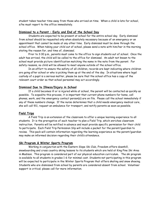student takes teacher time away from those who arrived on time. When a child is late for school, s/he must report to the office immediately.

# **Dismissal to a Parent – Early and End of the School Day**

Students are expected to be present at school for the entire school day. Early dismissal from school should be requested only when absolutely necessary because of an emergency or an appointment that cannot be made at any other time. Early dismissal must be done through the school office. When taking your child out of school, please send a note with him/her in the morning stating the reason for, and time of, dismissal.

Prior to 3:30 p.m., parents must come to the office to sign students out of school. Once the adult has arrived, the child will be called to the office for dismissal. An adult not known to the school must provide picture identification matching the name in the note from the parent. For safety reasons, no child will be allowed to meet anyone outside of the school office.

In an effort to ensure the safety of all children, records are kept indicating where children are going after school or who is picking them up at the end of the day. In situations where legal custody of a pupil is a serious matter, please be sure that the school office has a copy of the relevant court order so that school personnel may act accordingly.

# **Dismissal Due to Illness/Injury in School**

If a child becomes ill or is injured while at school, the parent will be contacted as quickly as possible. To expedite this process, it is important that current phone numbers for home, cell phones, work, and the emergency contact person(s) are on file. Please call the school immediately if any of these numbers change. If the nurse determines that a child needs emergency medical care, she will call 911, request an ambulance for transport, and notify parents as soon as possible.

# **Field Trips**

A Field Trip is an extension of the classroom to offer a unique learning experience to all students. It is the prerogative of each teacher to plan a Field Trip, which enriches classroom instruction. Parents will be notified in advance and must provide specific permission for their child to participate. Each Field Trip Permission Slip will include a packet for the parent/guardian to review. This pack will contain information regarding the learning experience so the parent/guardian may make an informed decision regarding their child's attendance.

# **Ski Program & Winter Sports Program**

Working in conjunction with the Eastern Slope Ski Club, Freedom offers downhill, snowboarding and cross country skiing lessons to its students which are held at King Pine Ski Area in Madison. This program is considered part of our physical education curriculum. The ski program is available to all students in grades 1-6 for minimal cost. Students not participating in this program will be expected to participate in the Winter Sports Program that offers skating and snow shoeing. Students who are dismissed from school by parents are considered absent from school. Volunteer support is critical; please call for more information.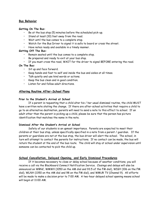# **Bus Behavior**

# **Getting On The Bus:**

- Be at the bus stop (5) minutes before the scheduled pick-up.
- Stand at least (10) feet away from the road.
- Wait until the bus comes to a complete stop.
- Watch for the Bus Driver to signal it is safe to board or cross the street.
- Have notes ready and available in a timely manner.

# **Getting Off The Bus:**

- Remain seated until the bus comes to a complete stop.
- Be prepared and ready to exit at your bus stop.
- If you must cross the road, WAIT for the driver to signal BEFORE entering the road.

# **On The Bus:**

- Sit up and face forward.
- Keep hands and feet to self and inside the bus and aisles at all times.
- Talk quietly and use kind words or actions.
- Keep the bus clean and in good condition.
- Listen for and follow adult directions.

# **Altering Routine After-School Plans**

# **Prior to the Student's Arrival at School**

If a parent is requesting that a child alter his / her usual dismissal routine, the child MUST have a written note stating the change. If there are after-school activities that require a child to go to an alternative destination, parents will need to send a note to this effect to school. If an adult other than the parent is picking up a child, please be sure that the person has picture identification that matches the name in the note.

# **Dismissal After the Student's Arrival at School**

Safety of our students is an upmost importance. Parents are expected to meet their children at their bus stop, unless specifically specified in a note from a parent / guardian. If the parents or guardians are not at the bus stop, the bus driver will alert the school. The school, in turn will attempt to contact the parents for instructions. If no contact can be made, the bus will return the student at the end of the bus route. The child will stay at school under supervision until someone can be contacted to pick the child up.

# **School Cancellation, Delayed Opening, and Early Dismissal Procedures**

If it becomes necessary to close or delay school because of weather conditions, you will receive a call via the Blackboard Connect Notification Service. Closings and delays will also be announced on WBNC, WMWV (1050 on the AM dial and 93.5 of the FM dial), WIGY (106 on the FM dial), WLNH (1350 on the AM dial and 98 on the FM dial), and WMUR TV (Channel 9). All efforts will be made to make a decision prior to 7:00 AM. A two-hour delayed school opening means school will begin at 11:00 AM.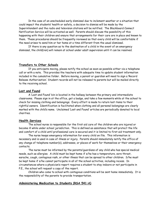In the case of an unscheduled early dismissal due to inclement weather or a situation that could impact the students' health or safety, a decision to dismiss will be made by the Superintendent and the radio and television stations will be notified. The Blackboard Connect Notification Service will be activated as well. Parents should discuss the possibility of this happening with their children and ensure that arrangements for their care are in place and known to them. These procedures should be frequently reviewed so that every child will be comfortable if the need arises to send him or her home at a time different from the usual dismissal.

If there is any question as to the destination of a child in the event of an emergency dismissal, the child(ren) will remain at school under adult supervision until it can be resolved.

#### **Transfers to Other Schools**

If you anticipate moving, please notify the school as soon as possible either via a telephone call or with a note. This provides the teachers with adequate time to update student information included in the cumulative folder. Before moving, a parent or guardian will need to sign a 'Record Release Authorization.' Student records will not be released to parents but will be mailed directly to the receiving school.

#### **Lost and Found**

A 'Lost and Found' bin is located in the hallway between the primary and intermediate classrooms. Please sign in at the office, get a badge, and take a few moments while at the school to check for missing clothing and belongings. Every effort is made to return lost items to their rightful owners. Identification is facilitated when clothing and all personal belongings are clearly marked with the child's name. Unclaimed 'Lost and Found' articles are periodically donated to local charities.

#### **Health Services**

The school nurse is responsible for the first aid care of the children who are injured or become ill while under school jurisdiction. This is defined as assistance that will protect the life and comfort of a child until professional care is secured and it is limited to first aid treatment only.

The nurse keeps emergency information for every child on file. This information is necessary and is used in case of illness or injury. Parents should immediately notify the office of any change of telephone number(s), addresses, or places of work for themselves or their emergency contacts.

The nurse must be informed by the parents/guardians of any child who has special medical needs, such as allergies. A child must be kept home if s/he has a temperature, sore throat, earache, cough, contagious rash, or other illness that can be spread to other children. S/he must be kept home if s/he cannot participate in all of the school activities, including recess. In circumstances where a physician's report requires a student to stay indoors or not participate in P.E., the school will request a copy of the report.

Children who come to school with contagious conditions will be sent home immediately. It is the responsibility of the parents to provide transportation.

#### **Administering Medication to Students (RSA 541:A)**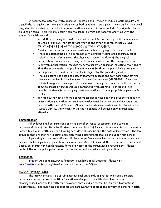In accordance with the State Board of Education and Division of Public Health Regulations, a pupil who is required to take medication prescribed by a health care practitioner during the school day, shall be assisted by the school nurse or another member of the school staff designated by the building principal. This will only occur when the school district has received and filed with the student's health record:

- An adult must bring the medication and correct forms directly to the school nurse or office. For his / her safety and that of the other children, MEDICATION MUST NEVER BE SENT TO SCHOOL WITH A STUDENT.
- Children are never to handle medication at school or going to or from school.
- The medication must be in a container with a properly completed pharmacy label including the student's name, the physician's name, the date of the original prescription, the name and strength of the medication, and the dosage directions.
- A written authorization (request from the parent or guardian indicating their desire that the school assist the pupil in matters set forth in the physician's statement), accompanied by a hold harmless release, signed by the parent / guardian.
- The legislature has acted to allow students to possess and self-administer asthma inhalers and epinephrine when specific provisions are met (HB 57&92). Provisions include having a written approval from a health care practitioner with the authority to write prescriptions as well as a parent's written approval. School shall not prohibit students from carrying these medications if the appropriate paperwork is in place.
- Written authorization from a parent/guardian is required for a student to take nonprescription medication. All such medication must be in the original packaging and labeled with the child's name. All non-prescription medication will be stored in the Nurse's Office. Authorization via the telephone will be used only in emergency situations.

# **Immunization**

All children shall be immunized prior to school entrance, according to the current recommendation of the State Public Health Agency. Proof of immunization is a letter, statement or record from your health provider showing each dose of vaccine and the date administered. The law provides that children not in compliance with these requirements may be excluded from school.

A parent/guardian requesting a child be exempt from immunization for religious or medical reasons shall complete an application for exemption. Any child may, at the discretion of the School Board, be exempt for health reasons from all or part of the immunization requirement. Please contact the school principal or nurse for the full school procedure and application.

# **Insurance**

Student Accident Insurance Program is available to all students. Please visit [www.NAHGA.com](http://www.nahga.com/) for a registration form or contact the Office.

# **HIPAA Privacy Rules**

The HIPAA Privacy Rule establishes national standards to protect individuals' medical records and other personal health information and applies to health plans, health care clearinghouses, and those health care providers that conduct certain health care transactions electronically. The Rule requires appropriate safeguards to protect the privacy of personal health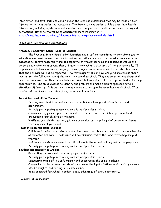information, and sets limits and conditions on the uses and disclosures that may be made of such information without patient authorization. The Rule also gives patients rights over their health information, including rights to examine and obtain a copy of their health records, and to request corrections. Refer to the following website for more information~~

<http://www.hhs.gov/ocr/privacy/hipaa/administrative/privacyrule/index.html>

# **Rules and Behavioral Expectations**

# **Freedom Elementary School Code of Conduct**

The Freedom School Board, administration, and staff are committed to providing a quality education in an environment that is safe and secure. All members of the Freedom community are expected to behave responsibly and be respectful of the school rules and policies as well as the persons and environment around them. Students know what is expected of them behaviorally. If inappropriate behavior occurs or language is used, logical consequences will be initiated to ensure that the behavior will not be repeated. The vast majority of our boys and girls are serious about wanting to take full advantage of the time they spend in school. They are conscientious about their academic endeavors and their school behavior. Most behavioral mistakes are approached as learning opportunities. The child is asked to identify the problem and make a plan to approach future situations differently. It is our goal to keep communication open between home and school. If an incident of a serious nature takes place, parents will be notified.

# **Parent Responsibilities Include:**

- Sending your child to school prepared to participate having had adequate rest and nourishment.
- Actively participating in resolving conflict and problems fairly.
- Communicating your respect for the role of teachers and other school personnel and encouraging your child to do the same.
- Notifying your child's teacher, guidance counselor, or the principal of concerns or issues that may impact your child.

# **Teacher Responsibilities Include:**

- Collaborating with the students in the classroom to establish and maintain a responsible plan of expected behavior. These rules will be communicated to the home at the beginning of the year.
- Maintaining a safe environment for all children in the school building and on the playground.
- Actively participating in resolving conflict and problems fairly.

# **Student Responsibilities Include:**

- Respecting the personal space and property of others.
- Actively participating in resolving conflict and problems fairly.
- Conducting one's self in a safe manner and encouraging the same in others.
- Communicating by listening and showing you value the input of others and sharing your own ideas, thoughts, and feelings in a calm manner.
- Being prepared for school in order to take advantage of every opportunity.

# **Examples of Misconduct**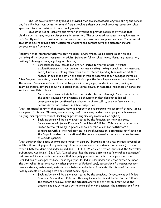The list below identifies types of behaviors that are unacceptable anytime during the school day including bus transportation to and from school, anywhere on school property, or at any school sponsored function outside of the school grounds.

This list is not all-inclusive but rather an attempt to provide examples of things that children do that may require disciplinary intervention. The associated responses are guidelines to help faculty and staff provide a fair and consistent response to a discipline problem. The intent of this list is also to provide clarification for students and parents as to the expectations and consequences of behavior.

\*Behavior that interferes with the positive school environment. Some examples of this are: Littering, disrespect to classmates or adults, failure to follow school rules, disrupting instruction, pushing / shoving, running / yelling, or cheating.

> • Consequences may include but are not limited to the following: A verbal explanation/warning from an adult; a class meeting, taking a break in the classroom; eating lunch in a setting other than the cafeteria; spending time with an adult at recess; an assigned seat on the bus; or making reparations for damaged materials.

\*Any frequent, repeated, or serious behavior that disrupts the learning environment or climate of the school. Some examples of this are: Inappropriate language, reckless behavior, teasing or taunting others, defiance or willful disobedience, verbal abuse, or repeated incidences of behaviors such as those listed above.

> • Consequences may include but are not limited to the following: A conference with the school counselor or principal; a behavior plan that designated logical consequences for continued misbehavior; a phone call to, or a conference with a parent, detention, and/or, in-school suspension.

\*Any intentional behavior that causes harm to property or endangering the safety of others. Some examples of this are: Threats, verbal abuse, theft, damaging or destroying property, harassment, bullying, disrespect to others, smoking or possessing smoking materials, or fighting.

> • Each incidence will be fully investigated by the Principal or their designee. Consequences will follow Freedom School Board Policies. This may include but is not limited to the following: A phone call to a parent; a plan for restitution; a conference with all involved parties; in-school suspension; detentions; notification of the Superintendent; notification of the police; suspension, and / or the involvement of outside agencies.

\*Any behavior that poses an immediate threat or danger. Examples of this may include: a verbal or written threat of physical or psychological harm, possession of a controlled substance {a drug or other substance identified under Schedules I, II, III, IV, or V of Section 202 (c) of the Controlled Substances Act [U.S.C. §812 (c)]. "Illegal drug" has the same definition as "controlled substance" but does not include such a substance that is legally possessed or under the supervision of a licensed health care professional, or is legally possessed or used under the other authority under the Controlled Substance Act or other provision of Federal Law}, possession of a weapon (weapon means a device, instrument, material, or substance, animate or inanimate, that is used for, or is readily capable of, causing death or serious bodily injury.

> • Each incidence will be fully investigated by the principal. Consequences will follow Freedom School Board Policies. This may include but is not limited to the following; the student's removal from the situation and to the office; an interview of the student and any witnesses by the principal or her designee; the notification of the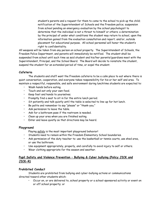student's parents and a request for them to come to the school to pick up the child; notification of the Superintendent of Schools and the Freedom police; suspension from school pending an emergency evaluation by the school psychologist to determine that the individual is not a threat to himself or others; a determination by the principal of under what conditions the student may return to school, upon the information gained from the evaluation consultation and report; and/or, outside placement for educational purpose. All school personnel will honor the student's right to confidentiality.

All weapons will be taken from any person on school property. The Superintendent of Schools, the Freedom Police Department, and parents will immediately be notified. The student shall be suspended from school until such time as said student and his/her parents/guardians meet with the Superintendent, Principal, and the School Board. The Board will decide to reinstate the student, suspend the student for an extended period of time, or expel the student.

# **Cafeteria**

The students and staff want the Freedom cafeteria to be a calm place to eat where there is quiet conversation, cooperation, and everyone takes responsibility for his or her self and area. To maintain a respectful, responsible, and safe environment during lunchtime students are expected to:

- Wash hands before eating.
- Touch and eat only your own food.
- Keep feet and hands to yourselves.
- Promptly find a seat to sit in for the entire lunch period.
- Sit patiently and talk quietly until the table is selected to line-up for hot lunch.
- Be polite and remember to say "please" or "thank-you."
- Ask permission to leave the table.
- Ask for a bathroom pass if the restroom is needed.
- Clean up your area when you are finished eating.
- Enter and leave quietly so that directions may be heard.

# **Playground**

Playing safely is the most important playground behavior!

- Students need to remain within the Freedom Elementary School boundaries.
- Ask permission of the duty teacher to: use the basketball or tennis courts, use shed area, or use the bathroom.
- Use equipment appropriately, properly, and carefully to avoid injury to self or others.
- Wear clothing appropriate for the season and weather.

# **Pupil Safety and Violence Prevention – Bullying & Cyber bullying (Policy JICK and JICK-R)**

# **Prohibited Conduct**

Students are prohibited from bullying and cyber-bullying actions or communications directed toward other students which:

• Occur on, or are delivered to, school property or a school-sponsored activity or event on or off school property; or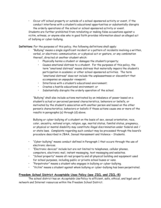• Occur off school property or outside of a school-sponsored activity or event, if the conduct interferes with a student's educational opportunities or substantially disrupts the orderly operations of the school or school-sponsored activity or event. Students are further prohibited from retaliating or making false accusations against a victim, witness, or anyone else who in good faith provides information about an alleged act of bullying or cyber-bullying.

**Definitions** For the purposes of this policy, the following definitions shall apply:

- "Bullying" means a single significant incident or a pattern of incidents involving a written, verbal, or electronic communication, or a physical act or gesture, or any combination thereof, directed at another student which:
	- Physically harms a student or damages the student's property;
	- Causes emotional distress to a student. For the purposes of this policy, the term "emotional distress" means distress that materially impairs the student's participation in academic or other school-sponsored activities. The term "emotional distress" does not include the unpleasantness or discomfort that accompanies an unpopular viewpoint;
	- Interferes with a student's educational environment;
	- Creates a hostile educational environment; or
	- Substantially disrupts the orderly operation of the school.

"Bullying" shall also include actions motivated by an imbalance of power based on a student's actual or perceived personal characteristics, behaviors or beliefs, or motivated by the student's association with another person and based on the other person's characteristics, behaviors or beliefs if those actions cause one or more of the results in paragraphs (a) through (d) above.

Bullying or cyber-bullying of a student on the basis of sex, sexual orientation, race, color, ancestry, national origin, religion, age, marital status, familial status, pregnancy, or physical or mental disability may constitute illegal discrimination under federal and / or state laws. Complaints regarding such conduct may be processed through the board's procedure described in JBAA, Sexual Harassment and Violence – Students.

- "Cyber-bullying" means conduct defined in Paragraph 1 that occurs through the use of electronic devices.
- "Electronic devices" include but are not limited to telephones, cellular phones, computers, electronic mail, instant messaging, text messaging and websites.
- "School property" means all real property and all physical building and equipment used for school purposes, including public or private school buses or vans.
- "Perpetrator" means a student who engages in bullying or cyber-bullying.
- "Victim" means a student against whom bullying or cyber-bullying has been perpetrated.

# **Freedom School District Acceptable Uses Policy (see JICL and JICL-R)**

The school district has an *Acceptable Use* Policy to efficient, safe, ethical, and legal use of network and Internet resources within the Freedom School District.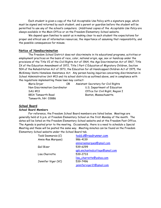Each student is given a copy of the full Acceptable Use Policy with a signature page, which must be signed and returned by each student, and a parent or guardian before the student will be permitted to use any of the school's computers. (Additional copies of the Acceptable Use Policy are always available in the Main Office or on the Freedom Elementary School website.

We depend upon families to assist us in making clear to each student the expectations for proper and ethical use of information resources, the importance of assuming that responsibility, and the possible consequences for misuse.

# **Notice of Nondiscrimination**

The Freedom School District does not discriminate in its educational programs, activities or employment practices on the basis of race, color, national origin, age, sex or handicap under the provisions of the Title VI of the Civil Rights Act of 1964, the Age Discrimination Act of 1967, Title IX of the Education Amendment of 1972, Title 1 Part C Education of Migratory Children, Section 504 of the Rehabilitation Act of 1973, the Education for all Handicapped Children Act of 1975, the McKinney-Vento Homeless Assistance Act. Any person having inquiries concerning discrimination in School Administrative Unit #13 and its school districts as outlined above, and in compliance with the regulations implementing these laws may contact:

881A Tamworth Road Boston, Massachusetts. Tamworth, NH 03886

Maria Dryer OR Assistant Secretary for Civil Rights Non-Discrimination Coordinator U.S. Department of Education SAU #13 Office for Civil Right, Region I

#### **School Board**

#### **School Board Members**

For reference, the Freedom School Board members are listed below. Meetings are generally held at 6 p.m. at Freedom Elementary School on the first Monday of the month. The dates will be listed on the Freedom Elementary School website and at the Freedom Post Office. The Agenda is posted prior to the meeting. Occasionally, there is a need to schedule a Special Meeting and these will be posted the same way. Meeting minutes can be found on the Freedom Elementary School website under the School Board tab.

| Todd Desmarais (C)  | todd.d@roadrunner.com          |  |  |  |  |
|---------------------|--------------------------------|--|--|--|--|
| Annie-Rae Marques)  | 986-4139                       |  |  |  |  |
|                     | annieraemarques@gmail.com      |  |  |  |  |
| Gail Bizer          | 539-6299                       |  |  |  |  |
|                     | gpb.enchantedcottage@gmail.com |  |  |  |  |
| Lisa Charrette      | 539-2733                       |  |  |  |  |
|                     | lisa_charrette@yahoo.com       |  |  |  |  |
| Jennifer Viger (VC) | 539-7496                       |  |  |  |  |
|                     | jenniferviger21@gmail.com      |  |  |  |  |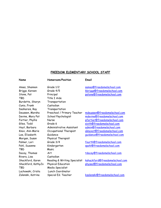# **FREEDOM ELEMENTARY SCHOOL STAFF**

| Name               | Homeroom/Position            | Email                          |  |  |  |
|--------------------|------------------------------|--------------------------------|--|--|--|
| Ames, Shannon      | Grade 1/2                    | sames@freedomelschool.com      |  |  |  |
| Briggs, Kareen     | Grade 4/5                    | kbriggs@freedomelschool.com    |  |  |  |
| Stone, Pat         | Principal                    | pstone@freedomelschool.com     |  |  |  |
| <b>TBD</b>         | Title I Aide                 |                                |  |  |  |
| Burdette, Sharyn   | Transportation               |                                |  |  |  |
| Cunio, Frank       | Custodian                    |                                |  |  |  |
| Desharais, Ray     | Transportation               |                                |  |  |  |
| Deussen, Marsha    | Preschool / Primary Teacher  | mdeussen@freedomelschool.com   |  |  |  |
| Devine, Mary Pat   | School Psychologist          | mdevine@freedomelschool.com    |  |  |  |
| Fortier, Phyllis   | Nurse                        | pfortier@freedomelschool.com   |  |  |  |
| Giles, Todd        | Grade 6                      | sixth@freedomelschool.com      |  |  |  |
| Hoyt, Barbara      | Administrative Assistant     | admin@freedomelschool.com      |  |  |  |
| Knox, Ann-Marie    | Occupational Therapist       | aknoxot@freedomelschool.com    |  |  |  |
| Lee, Elizabeth     | Guidance                     | guidance@freedomelschool.com   |  |  |  |
| Morgan, Susan      | Physical Therapist           |                                |  |  |  |
| Palmer, Lori       | Grade 3/4                    | fourth@freedomelschool.com     |  |  |  |
| Pohl, Suzanne      | Kindergarten                 | spohl@freedomelschool.com      |  |  |  |
| <b>TBD</b>         | Music                        |                                |  |  |  |
| Dacey, Thomas      | Art                          | tdacey@freedomelschool.com     |  |  |  |
| Rivera, Lisa       | Custodian                    |                                |  |  |  |
| Shackford, Karen   | Reading & Writing Specialist | kshackford@freedomelschool.com |  |  |  |
| Shackford, KathyJo | <b>Physical Education</b>    | physed@freedomelschool.com     |  |  |  |
| <b>TBD</b>         | Media Specialist             |                                |  |  |  |
| Lachowski, Crista  | Lunch Coordinator            |                                |  |  |  |
| Zalenski, Katrina  | Special Ed. Teacher          | kzalenski@freedomelschool.com  |  |  |  |